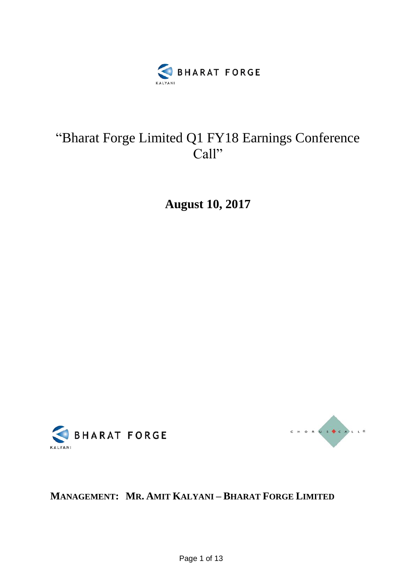

## "Bharat Forge Limited Q1 FY18 Earnings Conference Call"

**August 10, 2017**





## **MANAGEMENT: MR. AMIT KALYANI – BHARAT FORGE LIMITED**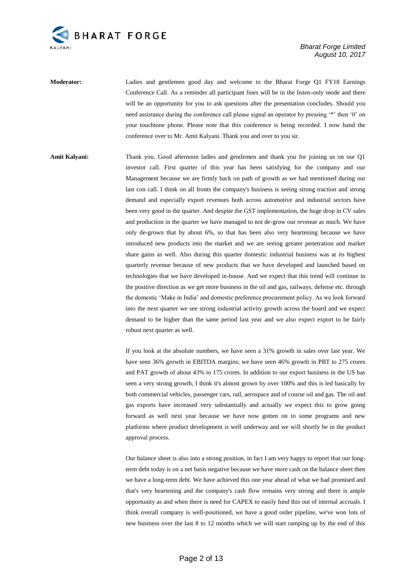

**Moderator:** Ladies and gentlemen good day and welcome to the Bharat Forge Q1 FY18 Earnings Conference Call. As a reminder all participant lines will be in the listen-only mode and there will be an opportunity for you to ask questions after the presentation concludes. Should you need assistance during the conference call please signal an operator by pressing '\*' then '0' on your touchtone phone. Please note that this conference is being recorded. I now hand the conference over to Mr. Amit Kalyani. Thank you and over to you sir.

**Amit Kalyani:** Thank you. Good afternoon ladies and gentlemen and thank you for joining us on our Q1 investor call. First quarter of this year has been satisfying for the company and our Management because we are firmly back on path of growth as we had mentioned during our last con call. I think on all fronts the company's business is seeing strong traction and strong demand and especially export revenues both across automotive and industrial sectors have been very good in the quarter. And despite the GST implementation, the huge drop in CV sales and production in the quarter we have managed to not de-grow our revenue as much. We have only de-grown that by about 6%, so that has been also very heartening because we have introduced new products into the market and we are seeing greater penetration and market share gains as well. Also during this quarter domestic industrial business was at its highest quarterly revenue because of new products that we have developed and launched based on technologies that we have developed in-house. And we expect that this trend will continue in the positive direction as we get more business in the oil and gas, railways, defense etc. through the domestic 'Make in India' and domestic preference procurement policy. As we look forward into the next quarter we see strong industrial activity growth across the board and we expect demand to be higher than the same period last year and we also expect export to be fairly robust next quarter as well.

> If you look at the absolute numbers, we have seen a 31% growth in sales over last year. We have seen 36% growth in EBITDA margins; we have seen 46% growth in PBT to 275 crores and PAT growth of about 43% to 175 crores. In addition to our export business in the US has seen a very strong growth, I think it's almost grown by over 100% and this is led basically by both commercial vehicles, passenger cars, rail, aerospace and of course oil and gas. The oil and gas exports have increased very substantially and actually we expect this to grow going forward as well next year because we have now gotten on to some programs and new platforms where product development is well underway and we will shortly be in the product approval process.

> Our balance sheet is also into a strong position, in fact I am very happy to report that our longterm debt today is on a net basis negative because we have more cash on the balance sheet then we have a long-term debt. We have achieved this one year ahead of what we had promised and that's very heartening and the company's cash flow remains very strong and there is ample opportunity as and when there is need for CAPEX to easily fund this out of internal accruals. I think overall company is well-positioned, we have a good order pipeline, we've won lots of new business over the last 8 to 12 months which we will start ramping up by the end of this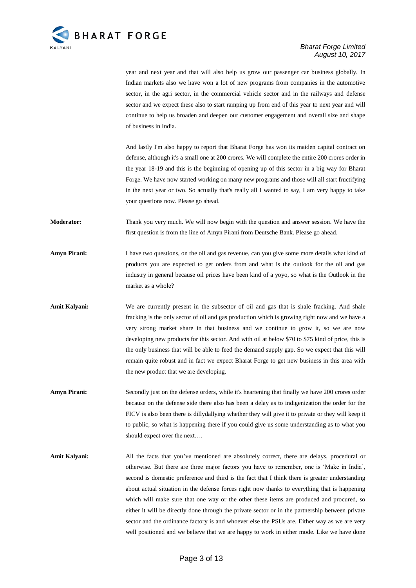

year and next year and that will also help us grow our passenger car business globally. In Indian markets also we have won a lot of new programs from companies in the automotive sector, in the agri sector, in the commercial vehicle sector and in the railways and defense sector and we expect these also to start ramping up from end of this year to next year and will continue to help us broaden and deepen our customer engagement and overall size and shape of business in India.

And lastly I'm also happy to report that Bharat Forge has won its maiden capital contract on defense, although it's a small one at 200 crores. We will complete the entire 200 crores order in the year 18-19 and this is the beginning of opening up of this sector in a big way for Bharat Forge. We have now started working on many new programs and those will all start fructifying in the next year or two. So actually that's really all I wanted to say, I am very happy to take your questions now. Please go ahead.

**Moderator:** Thank you very much. We will now begin with the question and answer session. We have the first question is from the line of Amyn Pirani from Deutsche Bank. Please go ahead.

**Amyn Pirani:** I have two questions, on the oil and gas revenue, can you give some more details what kind of products you are expected to get orders from and what is the outlook for the oil and gas industry in general because oil prices have been kind of a yoyo, so what is the Outlook in the market as a whole?

Amit Kalyani: We are currently present in the subsector of oil and gas that is shale fracking. And shale fracking is the only sector of oil and gas production which is growing right now and we have a very strong market share in that business and we continue to grow it, so we are now developing new products for this sector. And with oil at below \$70 to \$75 kind of price, this is the only business that will be able to feed the demand supply gap. So we expect that this will remain quite robust and in fact we expect Bharat Forge to get new business in this area with the new product that we are developing.

- Amyn Pirani: Secondly just on the defense orders, while it's heartening that finally we have 200 crores order because on the defense side there also has been a delay as to indigenization the order for the FICV is also been there is dillydallying whether they will give it to private or they will keep it to public, so what is happening there if you could give us some understanding as to what you should expect over the next….
- Amit Kalyani: All the facts that you've mentioned are absolutely correct, there are delays, procedural or otherwise. But there are three major factors you have to remember, one is 'Make in India', second is domestic preference and third is the fact that I think there is greater understanding about actual situation in the defense forces right now thanks to everything that is happening which will make sure that one way or the other these items are produced and procured, so either it will be directly done through the private sector or in the partnership between private sector and the ordinance factory is and whoever else the PSUs are. Either way as we are very well positioned and we believe that we are happy to work in either mode. Like we have done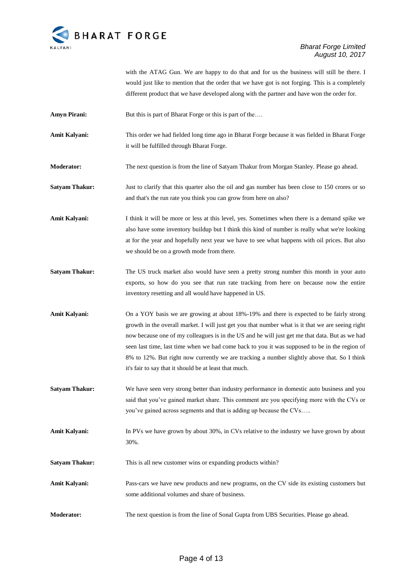

with the ATAG Gun. We are happy to do that and for us the business will still be there. I would just like to mention that the order that we have got is not forging. This is a completely different product that we have developed along with the partner and have won the order for.

**Amyn Pirani:** But this is part of Bharat Forge or this is part of the....

**Amit Kalyani:** This order we had fielded long time ago in Bharat Forge because it was fielded in Bharat Forge it will be fulfilled through Bharat Forge.

**Moderator:** The next question is from the line of Satyam Thakur from Morgan Stanley. Please go ahead.

**Satyam Thakur:** Just to clarify that this quarter also the oil and gas number has been close to 150 crores or so and that's the run rate you think you can grow from here on also?

**Amit Kalyani:** I think it will be more or less at this level, yes. Sometimes when there is a demand spike we also have some inventory buildup but I think this kind of number is really what we're looking at for the year and hopefully next year we have to see what happens with oil prices. But also we should be on a growth mode from there.

**Satyam Thakur:** The US truck market also would have seen a pretty strong number this month in your auto exports, so how do you see that run rate tracking from here on because now the entire inventory resetting and all would have happened in US.

**Amit Kalyani:** On a YOY basis we are growing at about 18%-19% and there is expected to be fairly strong growth in the overall market. I will just get you that number what is it that we are seeing right now because one of my colleagues is in the US and he will just get me that data. But as we had seen last time, last time when we had come back to you it was supposed to be in the region of 8% to 12%. But right now currently we are tracking a number slightly above that. So I think it's fair to say that it should be at least that much.

**Satyam Thakur:** We have seen very strong better than industry performance in domestic auto business and you said that you've gained market share. This comment are you specifying more with the CVs or you've gained across segments and that is adding up because the CVs…..

Amit Kalyani: In PVs we have grown by about 30%, in CVs relative to the industry we have grown by about 30%.

**Satyam Thakur:** This is all new customer wins or expanding products within?

Amit Kalyani: Pass-cars we have new products and new programs, on the CV side its existing customers but some additional volumes and share of business.

**Moderator:** The next question is from the line of Sonal Gupta from UBS Securities. Please go ahead.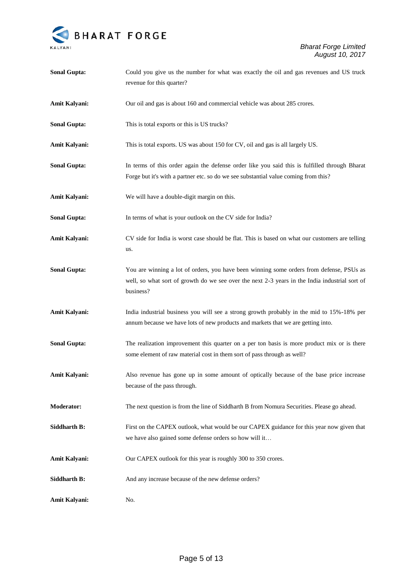

| <b>Sonal Gupta:</b>  | Could you give us the number for what was exactly the oil and gas revenues and US truck                                                                                                                 |
|----------------------|---------------------------------------------------------------------------------------------------------------------------------------------------------------------------------------------------------|
|                      | revenue for this quarter?                                                                                                                                                                               |
| Amit Kalyani:        | Our oil and gas is about 160 and commercial vehicle was about 285 crores.                                                                                                                               |
| <b>Sonal Gupta:</b>  | This is total exports or this is US trucks?                                                                                                                                                             |
| Amit Kalyani:        | This is total exports. US was about 150 for CV, oil and gas is all largely US.                                                                                                                          |
| <b>Sonal Gupta:</b>  | In terms of this order again the defense order like you said this is fulfilled through Bharat<br>Forge but it's with a partner etc. so do we see substantial value coming from this?                    |
| Amit Kalyani:        | We will have a double-digit margin on this.                                                                                                                                                             |
| <b>Sonal Gupta:</b>  | In terms of what is your outlook on the CV side for India?                                                                                                                                              |
| Amit Kalyani:        | CV side for India is worst case should be flat. This is based on what our customers are telling<br>us.                                                                                                  |
| <b>Sonal Gupta:</b>  | You are winning a lot of orders, you have been winning some orders from defense, PSUs as<br>well, so what sort of growth do we see over the next 2-3 years in the India industrial sort of<br>business? |
| Amit Kalyani:        | India industrial business you will see a strong growth probably in the mid to 15%-18% per<br>annum because we have lots of new products and markets that we are getting into.                           |
| <b>Sonal Gupta:</b>  | The realization improvement this quarter on a per ton basis is more product mix or is there<br>some element of raw material cost in them sort of pass through as well?                                  |
| Amit Kalyani:        | Also revenue has gone up in some amount of optically because of the base price increase<br>because of the pass through.                                                                                 |
| <b>Moderator:</b>    | The next question is from the line of Siddharth B from Nomura Securities. Please go ahead.                                                                                                              |
| <b>Siddharth B:</b>  | First on the CAPEX outlook, what would be our CAPEX guidance for this year now given that<br>we have also gained some defense orders so how will it                                                     |
| <b>Amit Kalyani:</b> | Our CAPEX outlook for this year is roughly 300 to 350 crores.                                                                                                                                           |
| Siddharth B:         | And any increase because of the new defense orders?                                                                                                                                                     |
| Amit Kalyani:        | No.                                                                                                                                                                                                     |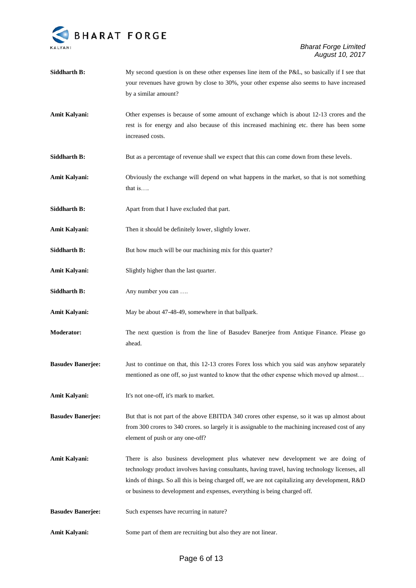

your revenues have grown by close to 30%, your other expense also seems to have increased by a similar amount? **Amit Kalyani:** Other expenses is because of some amount of exchange which is about 12-13 crores and the rest is for energy and also because of this increased machining etc. there has been some increased costs. **Siddharth B:** But as a percentage of revenue shall we expect that this can come down from these levels. **Amit Kalyani:** Obviously the exchange will depend on what happens in the market, so that is not something that is…. Siddharth B: Apart from that I have excluded that part. Amit Kalyani: Then it should be definitely lower, slightly lower. **Siddharth B:** But how much will be our machining mix for this quarter? Amit Kalyani: Slightly higher than the last quarter. **Siddharth B:** Any number you can .... Amit Kalyani: May be about 47-48-49, somewhere in that ballpark. **Moderator:** The next question is from the line of Basudev Banerjee from Antique Finance. Please go ahead. **Basudev Banerjee:** Just to continue on that, this 12-13 crores Forex loss which you said was anyhow separately mentioned as one off, so just wanted to know that the other expense which moved up almost… Amit Kalyani: It's not one-off, it's mark to market. **Basudev Banerjee:** But that is not part of the above EBITDA 340 crores other expense, so it was up almost about from 300 crores to 340 crores. so largely it is assignable to the machining increased cost of any element of push or any one-off? **Amit Kalyani:** There is also business development plus whatever new development we are doing of technology product involves having consultants, having travel, having technology licenses, all kinds of things. So all this is being charged off, we are not capitalizing any development, R&D or business to development and expenses, everything is being charged off. **Basudev Banerjee:** Such expenses have recurring in nature? **Amit Kalyani:** Some part of them are recruiting but also they are not linear.

**Siddharth B:** My second question is on these other expenses line item of the P&L, so basically if I see that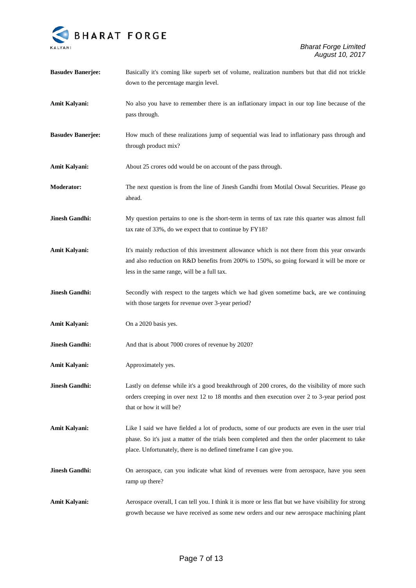

| <b>Basudev Banerjee:</b> | Basically it's coming like superb set of volume, realization numbers but that did not trickle<br>down to the percentage margin level.                                                                                                                                   |
|--------------------------|-------------------------------------------------------------------------------------------------------------------------------------------------------------------------------------------------------------------------------------------------------------------------|
| Amit Kalyani:            | No also you have to remember there is an inflationary impact in our top line because of the<br>pass through.                                                                                                                                                            |
| <b>Basudev Banerjee:</b> | How much of these realizations jump of sequential was lead to inflationary pass through and<br>through product mix?                                                                                                                                                     |
| Amit Kalyani:            | About 25 crores odd would be on account of the pass through.                                                                                                                                                                                                            |
| Moderator:               | The next question is from the line of Jinesh Gandhi from Motilal Oswal Securities. Please go<br>ahead.                                                                                                                                                                  |
| <b>Jinesh Gandhi:</b>    | My question pertains to one is the short-term in terms of tax rate this quarter was almost full<br>tax rate of 33%, do we expect that to continue by FY18?                                                                                                              |
| Amit Kalyani:            | It's mainly reduction of this investment allowance which is not there from this year onwards<br>and also reduction on R&D benefits from 200% to 150%, so going forward it will be more or<br>less in the same range, will be a full tax.                                |
| <b>Jinesh Gandhi:</b>    | Secondly with respect to the targets which we had given sometime back, are we continuing<br>with those targets for revenue over 3-year period?                                                                                                                          |
| Amit Kalyani:            | On a 2020 basis yes.                                                                                                                                                                                                                                                    |
| <b>Jinesh Gandhi:</b>    | And that is about 7000 crores of revenue by 2020?                                                                                                                                                                                                                       |
| Amit Kalyani:            | Approximately yes.                                                                                                                                                                                                                                                      |
| <b>Jinesh Gandhi:</b>    | Lastly on defense while it's a good breakthrough of 200 crores, do the visibility of more such<br>orders creeping in over next 12 to 18 months and then execution over 2 to 3-year period post<br>that or how it will be?                                               |
| Amit Kalyani:            | Like I said we have fielded a lot of products, some of our products are even in the user trial<br>phase. So it's just a matter of the trials been completed and then the order placement to take<br>place. Unfortunately, there is no defined timeframe I can give you. |
| <b>Jinesh Gandhi:</b>    | On aerospace, can you indicate what kind of revenues were from aerospace, have you seen<br>ramp up there?                                                                                                                                                               |
| Amit Kalyani:            | Aerospace overall, I can tell you. I think it is more or less flat but we have visibility for strong<br>growth because we have received as some new orders and our new aerospace machining plant                                                                        |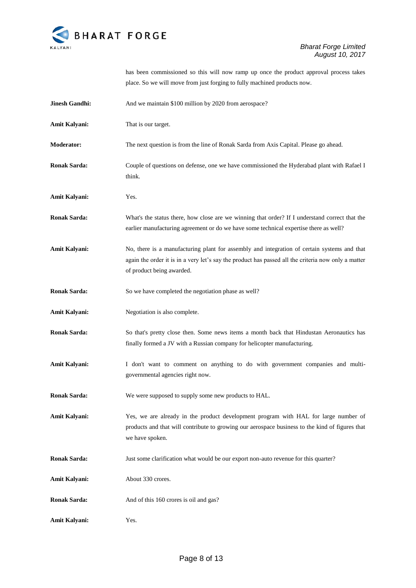

has been commissioned so this will now ramp up once the product approval process takes place. So we will move from just forging to fully machined products now.

| Jinesh Gandhi:      | And we maintain \$100 million by 2020 from aerospace?                                                                                                                                                                           |
|---------------------|---------------------------------------------------------------------------------------------------------------------------------------------------------------------------------------------------------------------------------|
| Amit Kalyani:       | That is our target.                                                                                                                                                                                                             |
| <b>Moderator:</b>   | The next question is from the line of Ronak Sarda from Axis Capital. Please go ahead.                                                                                                                                           |
| <b>Ronak Sarda:</b> | Couple of questions on defense, one we have commissioned the Hyderabad plant with Rafael I<br>think.                                                                                                                            |
| Amit Kalyani:       | Yes.                                                                                                                                                                                                                            |
| <b>Ronak Sarda:</b> | What's the status there, how close are we winning that order? If I understand correct that the<br>earlier manufacturing agreement or do we have some technical expertise there as well?                                         |
| Amit Kalyani:       | No, there is a manufacturing plant for assembly and integration of certain systems and that<br>again the order it is in a very let's say the product has passed all the criteria now only a matter<br>of product being awarded. |
| <b>Ronak Sarda:</b> | So we have completed the negotiation phase as well?                                                                                                                                                                             |
| Amit Kalyani:       | Negotiation is also complete.                                                                                                                                                                                                   |
| <b>Ronak Sarda:</b> | So that's pretty close then. Some news items a month back that Hindustan Aeronautics has<br>finally formed a JV with a Russian company for helicopter manufacturing.                                                            |
| Amit Kalyani:       | I don't want to comment on anything to do with government companies and multi-<br>governmental agencies right now.                                                                                                              |
| <b>Ronak Sarda:</b> | We were supposed to supply some new products to HAL.                                                                                                                                                                            |
| Amit Kalyani:       | Yes, we are already in the product development program with HAL for large number of<br>products and that will contribute to growing our aerospace business to the kind of figures that<br>we have spoken.                       |
| <b>Ronak Sarda:</b> | Just some clarification what would be our export non-auto revenue for this quarter?                                                                                                                                             |
| Amit Kalyani:       | About 330 crores.                                                                                                                                                                                                               |
| <b>Ronak Sarda:</b> | And of this 160 crores is oil and gas?                                                                                                                                                                                          |
| Amit Kalyani:       | Yes.                                                                                                                                                                                                                            |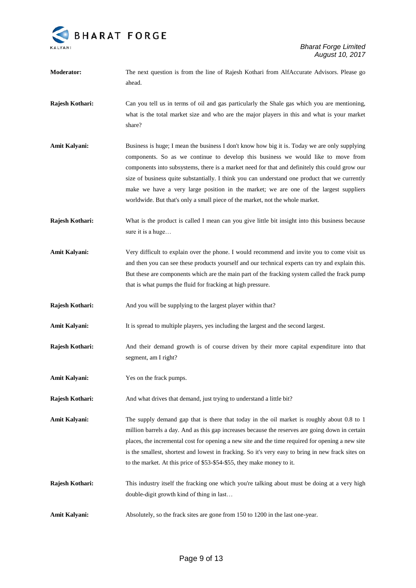

**Moderator:** The next question is from the line of Rajesh Kothari from AlfAccurate Advisors. Please go ahead. **Rajesh Kothari:** Can you tell us in terms of oil and gas particularly the Shale gas which you are mentioning, what is the total market size and who are the major players in this and what is your market share? Amit Kalyani: Business is huge; I mean the business I don't know how big it is. Today we are only supplying components. So as we continue to develop this business we would like to move from components into subsystems, there is a market need for that and definitely this could grow our size of business quite substantially. I think you can understand one product that we currently make we have a very large position in the market; we are one of the largest suppliers worldwide. But that's only a small piece of the market, not the whole market. **Rajesh Kothari:** What is the product is called I mean can you give little bit insight into this business because sure it is a huge… **Amit Kalyani:** Very difficult to explain over the phone. I would recommend and invite you to come visit us and then you can see these products yourself and our technical experts can try and explain this. But these are components which are the main part of the fracking system called the frack pump that is what pumps the fluid for fracking at high pressure. **Rajesh Kothari:** And you will be supplying to the largest player within that? Amit Kalyani: It is spread to multiple players, yes including the largest and the second largest. **Rajesh Kothari:** And their demand growth is of course driven by their more capital expenditure into that segment, am I right? **Amit Kalyani:** Yes on the frack pumps. **Rajesh Kothari:** And what drives that demand, just trying to understand a little bit? **Amit Kalyani:** The supply demand gap that is there that today in the oil market is roughly about 0.8 to 1 million barrels a day. And as this gap increases because the reserves are going down in certain places, the incremental cost for opening a new site and the time required for opening a new site is the smallest, shortest and lowest in fracking. So it's very easy to bring in new frack sites on to the market. At this price of \$53-\$54-\$55, they make money to it. **Rajesh Kothari:** This industry itself the fracking one which you're talking about must be doing at a very high double-digit growth kind of thing in last… Amit Kalyani: Absolutely, so the frack sites are gone from 150 to 1200 in the last one-year.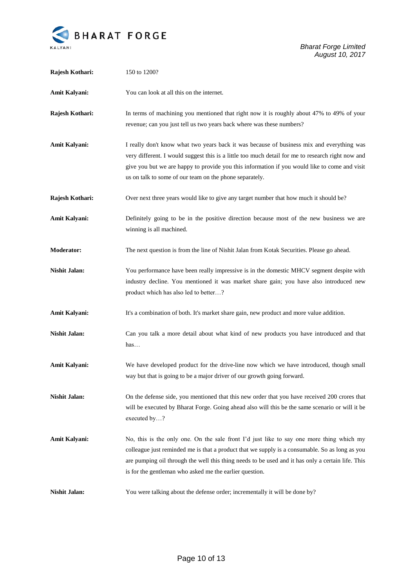

*Bharat Forge Limited August 10, 2017*

| Rajesh Kothari:      | 150 to 1200?                                                                                                                                                                                                                                                                                                                                               |
|----------------------|------------------------------------------------------------------------------------------------------------------------------------------------------------------------------------------------------------------------------------------------------------------------------------------------------------------------------------------------------------|
| Amit Kalyani:        | You can look at all this on the internet.                                                                                                                                                                                                                                                                                                                  |
| Rajesh Kothari:      | In terms of machining you mentioned that right now it is roughly about 47% to 49% of your<br>revenue; can you just tell us two years back where was these numbers?                                                                                                                                                                                         |
| Amit Kalyani:        | I really don't know what two years back it was because of business mix and everything was<br>very different. I would suggest this is a little too much detail for me to research right now and<br>give you but we are happy to provide you this information if you would like to come and visit<br>us on talk to some of our team on the phone separately. |
| Rajesh Kothari:      | Over next three years would like to give any target number that how much it should be?                                                                                                                                                                                                                                                                     |
| Amit Kalyani:        | Definitely going to be in the positive direction because most of the new business we are<br>winning is all machined.                                                                                                                                                                                                                                       |
| <b>Moderator:</b>    | The next question is from the line of Nishit Jalan from Kotak Securities. Please go ahead.                                                                                                                                                                                                                                                                 |
| <b>Nishit Jalan:</b> | You performance have been really impressive is in the domestic MHCV segment despite with<br>industry decline. You mentioned it was market share gain; you have also introduced new<br>product which has also led to better?                                                                                                                                |
| Amit Kalyani:        | It's a combination of both. It's market share gain, new product and more value addition.                                                                                                                                                                                                                                                                   |
| <b>Nishit Jalan:</b> | Can you talk a more detail about what kind of new products you have introduced and that<br>has                                                                                                                                                                                                                                                             |
| Amit Kalyani:        | We have developed product for the drive-line now which we have introduced, though small<br>way but that is going to be a major driver of our growth going forward.                                                                                                                                                                                         |
| <b>Nishit Jalan:</b> | On the defense side, you mentioned that this new order that you have received 200 crores that<br>will be executed by Bharat Forge. Going ahead also will this be the same scenario or will it be<br>executed by?                                                                                                                                           |
| <b>Amit Kalyani:</b> | No, this is the only one. On the sale front I'd just like to say one more thing which my<br>colleague just reminded me is that a product that we supply is a consumable. So as long as you<br>are pumping oil through the well this thing needs to be used and it has only a certain life. This<br>is for the gentleman who asked me the earlier question. |
| <b>Nishit Jalan:</b> | You were talking about the defense order; incrementally it will be done by?                                                                                                                                                                                                                                                                                |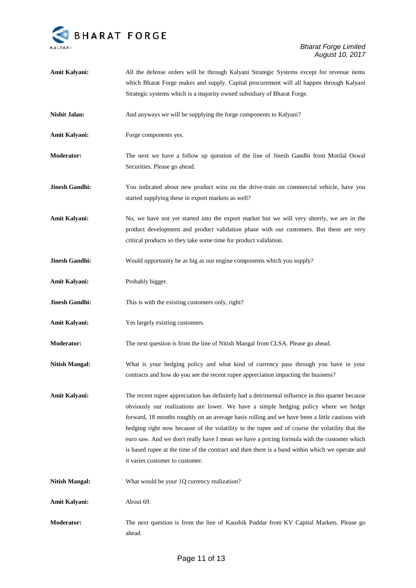

*Bharat Forge Limited August 10, 2017*

| Amit Kalyani:         | All the defense orders will be through Kalyani Strategic Systems except for revenue items                                                                                                                                                                                                                                                                                                                                                                                                                                                                                                                                         |
|-----------------------|-----------------------------------------------------------------------------------------------------------------------------------------------------------------------------------------------------------------------------------------------------------------------------------------------------------------------------------------------------------------------------------------------------------------------------------------------------------------------------------------------------------------------------------------------------------------------------------------------------------------------------------|
|                       | which Bharat Forge makes and supply. Capital procurement will all happen through Kalyani                                                                                                                                                                                                                                                                                                                                                                                                                                                                                                                                          |
|                       | Strategic systems which is a majority owned subsidiary of Bharat Forge.                                                                                                                                                                                                                                                                                                                                                                                                                                                                                                                                                           |
| <b>Nishit Jalan:</b>  | And anyways we will be supplying the forge components to Kalyani?                                                                                                                                                                                                                                                                                                                                                                                                                                                                                                                                                                 |
| Amit Kalyani:         | Forge components yes.                                                                                                                                                                                                                                                                                                                                                                                                                                                                                                                                                                                                             |
| <b>Moderator:</b>     | The next we have a follow up question of the line of Jinesh Gandhi from Motilal Oswal<br>Securities. Please go ahead.                                                                                                                                                                                                                                                                                                                                                                                                                                                                                                             |
| <b>Jinesh Gandhi:</b> | You indicated about new product wins on the drive-train on commercial vehicle, have you<br>started supplying these in export markets as well?                                                                                                                                                                                                                                                                                                                                                                                                                                                                                     |
| Amit Kalyani:         | No, we have not yet started into the export market but we will very shortly, we are in the<br>product development and product validation phase with our customers. But these are very<br>critical products so they take some time for product validation.                                                                                                                                                                                                                                                                                                                                                                         |
| <b>Jinesh Gandhi:</b> | Would opportunity be as big as our engine components which you supply?                                                                                                                                                                                                                                                                                                                                                                                                                                                                                                                                                            |
| Amit Kalyani:         | Probably bigger.                                                                                                                                                                                                                                                                                                                                                                                                                                                                                                                                                                                                                  |
| <b>Jinesh Gandhi:</b> | This is with the existing customers only, right?                                                                                                                                                                                                                                                                                                                                                                                                                                                                                                                                                                                  |
| Amit Kalyani:         | Yes largely existing customers.                                                                                                                                                                                                                                                                                                                                                                                                                                                                                                                                                                                                   |
| <b>Moderator:</b>     | The next question is from the line of Nitish Mangal from CLSA. Please go ahead.                                                                                                                                                                                                                                                                                                                                                                                                                                                                                                                                                   |
| <b>Nitish Mangal:</b> | What is your hedging policy and what kind of currency pass through you have in your<br>contracts and how do you see the recent rupee appreciation impacting the business?                                                                                                                                                                                                                                                                                                                                                                                                                                                         |
| Amit Kalyani:         | The recent rupee appreciation has definitely had a detrimental influence in this quarter because<br>obviously our realizations are lower. We have a simple hedging policy where we hedge<br>forward, 18 months roughly on an average basis rolling and we have been a little cautious with<br>hedging right now because of the volatility in the rupee and of course the volatility that the<br>euro saw. And we don't really have I mean we have a pricing formula with the customer which<br>is based rupee at the time of the contract and then there is a band within which we operate and<br>it varies customer to customer. |
| <b>Nitish Mangal:</b> | What would be your 1Q currency realization?                                                                                                                                                                                                                                                                                                                                                                                                                                                                                                                                                                                       |
| <b>Amit Kalyani:</b>  | About 69.                                                                                                                                                                                                                                                                                                                                                                                                                                                                                                                                                                                                                         |
| <b>Moderator:</b>     | The next question is from the line of Kaushik Poddar from KV Capital Markets. Please go<br>ahead.                                                                                                                                                                                                                                                                                                                                                                                                                                                                                                                                 |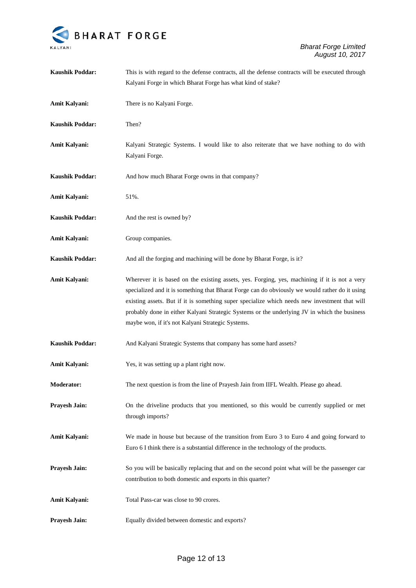

| <b>Kaushik Poddar:</b> | This is with regard to the defense contracts, all the defense contracts will be executed through                                                                                                                                                                                                                                                                                                                                                      |
|------------------------|-------------------------------------------------------------------------------------------------------------------------------------------------------------------------------------------------------------------------------------------------------------------------------------------------------------------------------------------------------------------------------------------------------------------------------------------------------|
|                        | Kalyani Forge in which Bharat Forge has what kind of stake?                                                                                                                                                                                                                                                                                                                                                                                           |
| Amit Kalyani:          | There is no Kalyani Forge.                                                                                                                                                                                                                                                                                                                                                                                                                            |
| <b>Kaushik Poddar:</b> | Then?                                                                                                                                                                                                                                                                                                                                                                                                                                                 |
| Amit Kalyani:          | Kalyani Strategic Systems. I would like to also reiterate that we have nothing to do with<br>Kalyani Forge.                                                                                                                                                                                                                                                                                                                                           |
| <b>Kaushik Poddar:</b> | And how much Bharat Forge owns in that company?                                                                                                                                                                                                                                                                                                                                                                                                       |
| Amit Kalyani:          | 51%.                                                                                                                                                                                                                                                                                                                                                                                                                                                  |
| <b>Kaushik Poddar:</b> | And the rest is owned by?                                                                                                                                                                                                                                                                                                                                                                                                                             |
| Amit Kalyani:          | Group companies.                                                                                                                                                                                                                                                                                                                                                                                                                                      |
| <b>Kaushik Poddar:</b> | And all the forging and machining will be done by Bharat Forge, is it?                                                                                                                                                                                                                                                                                                                                                                                |
| Amit Kalyani:          | Wherever it is based on the existing assets, yes. Forging, yes, machining if it is not a very<br>specialized and it is something that Bharat Forge can do obviously we would rather do it using<br>existing assets. But if it is something super specialize which needs new investment that will<br>probably done in either Kalyani Strategic Systems or the underlying JV in which the business<br>maybe won, if it's not Kalyani Strategic Systems. |
| <b>Kaushik Poddar:</b> | And Kalyani Strategic Systems that company has some hard assets?                                                                                                                                                                                                                                                                                                                                                                                      |
| Amit Kalyani:          | Yes, it was setting up a plant right now.                                                                                                                                                                                                                                                                                                                                                                                                             |
| Moderator:             | The next question is from the line of Prayesh Jain from IIFL Wealth. Please go ahead.                                                                                                                                                                                                                                                                                                                                                                 |
| <b>Prayesh Jain:</b>   | On the driveline products that you mentioned, so this would be currently supplied or met<br>through imports?                                                                                                                                                                                                                                                                                                                                          |
| <b>Amit Kalyani:</b>   | We made in house but because of the transition from Euro 3 to Euro 4 and going forward to<br>Euro 6 I think there is a substantial difference in the technology of the products.                                                                                                                                                                                                                                                                      |
| Prayesh Jain:          | So you will be basically replacing that and on the second point what will be the passenger car<br>contribution to both domestic and exports in this quarter?                                                                                                                                                                                                                                                                                          |
| <b>Amit Kalyani:</b>   | Total Pass-car was close to 90 crores.                                                                                                                                                                                                                                                                                                                                                                                                                |
| Prayesh Jain:          | Equally divided between domestic and exports?                                                                                                                                                                                                                                                                                                                                                                                                         |